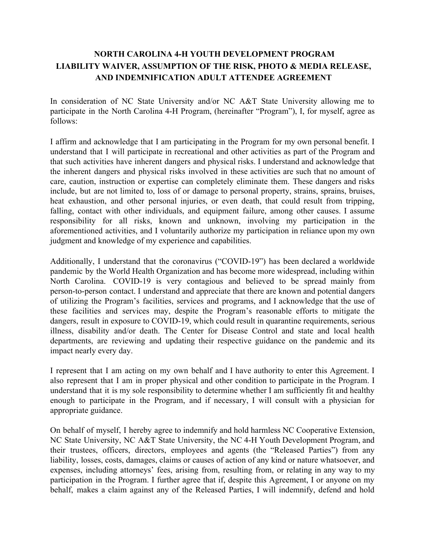## **NORTH CAROLINA 4-H YOUTH DEVELOPMENT PROGRAM LIABILITY WAIVER, ASSUMPTION OF THE RISK, PHOTO & MEDIA RELEASE, AND INDEMNIFICATION ADULT ATTENDEE AGREEMENT**

In consideration of NC State University and/or NC A&T State University allowing me to participate in the North Carolina 4-H Program, (hereinafter "Program"), I, for myself, agree as follows:

I affirm and acknowledge that I am participating in the Program for my own personal benefit. I understand that I will participate in recreational and other activities as part of the Program and that such activities have inherent dangers and physical risks. I understand and acknowledge that the inherent dangers and physical risks involved in these activities are such that no amount of care, caution, instruction or expertise can completely eliminate them. These dangers and risks include, but are not limited to, loss of or damage to personal property, strains, sprains, bruises, heat exhaustion, and other personal injuries, or even death, that could result from tripping, falling, contact with other individuals, and equipment failure, among other causes. I assume responsibility for all risks, known and unknown, involving my participation in the aforementioned activities, and I voluntarily authorize my participation in reliance upon my own judgment and knowledge of my experience and capabilities.

Additionally, I understand that the coronavirus ("COVID-19") has been declared a worldwide pandemic by the World Health Organization and has become more widespread, including within North Carolina. COVID-19 is very contagious and believed to be spread mainly from person-to-person contact. I understand and appreciate that there are known and potential dangers of utilizing the Program's facilities, services and programs, and I acknowledge that the use of these facilities and services may, despite the Program's reasonable efforts to mitigate the dangers, result in exposure to COVID-19, which could result in quarantine requirements, serious illness, disability and/or death. The Center for Disease Control and state and local health departments, are reviewing and updating their respective guidance on the pandemic and its impact nearly every day.

I represent that I am acting on my own behalf and I have authority to enter this Agreement. I also represent that I am in proper physical and other condition to participate in the Program. I understand that it is my sole responsibility to determine whether I am sufficiently fit and healthy enough to participate in the Program, and if necessary, I will consult with a physician for appropriate guidance.

On behalf of myself, I hereby agree to indemnify and hold harmless NC Cooperative Extension, NC State University, NC A&T State University, the NC 4-H Youth Development Program, and their trustees, officers, directors, employees and agents (the "Released Parties") from any liability, losses, costs, damages, claims or causes of action of any kind or nature whatsoever, and expenses, including attorneys' fees, arising from, resulting from, or relating in any way to my participation in the Program. I further agree that if, despite this Agreement, I or anyone on my behalf, makes a claim against any of the Released Parties, I will indemnify, defend and hold